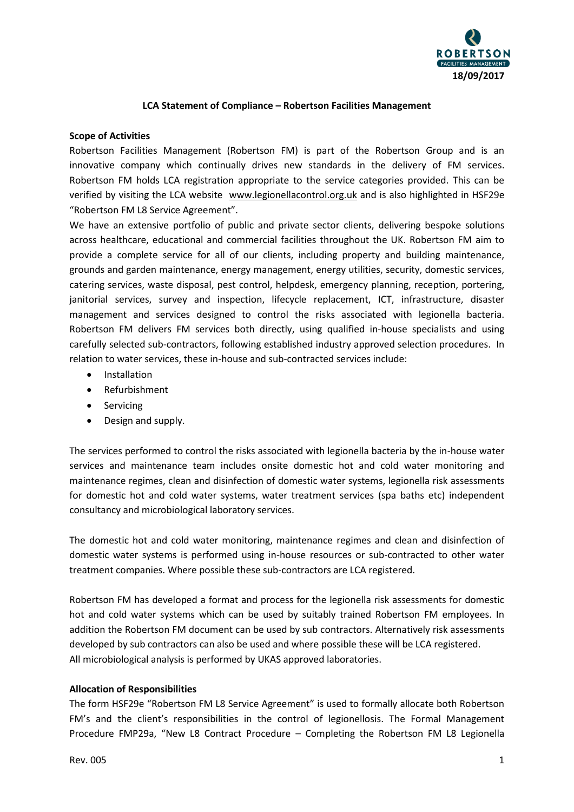

#### **LCA Statement of Compliance – Robertson Facilities Management**

#### **Scope of Activities**

Robertson Facilities Management (Robertson FM) is part of the Robertson Group and is an innovative company which continually drives new standards in the delivery of FM services. Robertson FM holds LCA registration appropriate to the service categories provided. This can be verified by visiting the LCA website [www.legionellacontrol.org.uk](http://www.legionellacontrol.org.uk/) and is also highlighted in HSF29e "Robertson FM L8 Service Agreement".

We have an extensive portfolio of public and private sector clients, delivering bespoke solutions across healthcare, educational and commercial facilities throughout the UK. Robertson FM aim to provide a complete service for all of our clients, including property and building maintenance, grounds and garden maintenance, energy management, energy utilities, security, domestic services, catering services, waste disposal, pest control, helpdesk, emergency planning, reception, portering, janitorial services, survey and inspection, lifecycle replacement, ICT, infrastructure, disaster management and services designed to control the risks associated with legionella bacteria. Robertson FM delivers FM services both directly, using qualified in-house specialists and using carefully selected sub-contractors, following established industry approved selection procedures. In relation to water services, these in-house and sub-contracted services include:

- Installation
- Refurbishment
- Servicing
- Design and supply.

The services performed to control the risks associated with legionella bacteria by the in-house water services and maintenance team includes onsite domestic hot and cold water monitoring and maintenance regimes, clean and disinfection of domestic water systems, legionella risk assessments for domestic hot and cold water systems, water treatment services (spa baths etc) independent consultancy and microbiological laboratory services.

The domestic hot and cold water monitoring, maintenance regimes and clean and disinfection of domestic water systems is performed using in-house resources or sub-contracted to other water treatment companies. Where possible these sub-contractors are LCA registered.

Robertson FM has developed a format and process for the legionella risk assessments for domestic hot and cold water systems which can be used by suitably trained Robertson FM employees. In addition the Robertson FM document can be used by sub contractors. Alternatively risk assessments developed by sub contractors can also be used and where possible these will be LCA registered. All microbiological analysis is performed by UKAS approved laboratories.

### **Allocation of Responsibilities**

The form HSF29e "Robertson FM L8 Service Agreement" is used to formally allocate both Robertson FM's and the client's responsibilities in the control of legionellosis. The Formal Management Procedure FMP29a, "New L8 Contract Procedure – Completing the Robertson FM L8 Legionella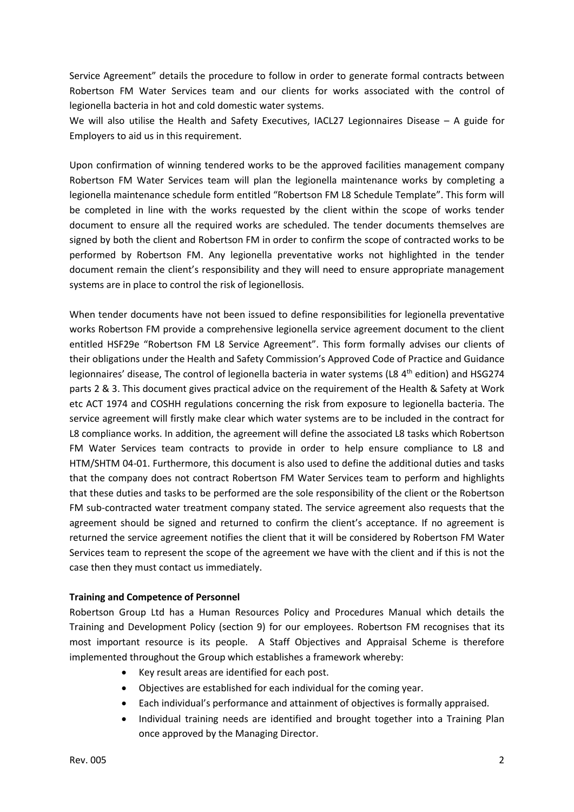Service Agreement" details the procedure to follow in order to generate formal contracts between Robertson FM Water Services team and our clients for works associated with the control of legionella bacteria in hot and cold domestic water systems.

We will also utilise the Health and Safety Executives, IACL27 Legionnaires Disease - A guide for Employers to aid us in this requirement.

Upon confirmation of winning tendered works to be the approved facilities management company Robertson FM Water Services team will plan the legionella maintenance works by completing a legionella maintenance schedule form entitled "Robertson FM L8 Schedule Template". This form will be completed in line with the works requested by the client within the scope of works tender document to ensure all the required works are scheduled. The tender documents themselves are signed by both the client and Robertson FM in order to confirm the scope of contracted works to be performed by Robertson FM. Any legionella preventative works not highlighted in the tender document remain the client's responsibility and they will need to ensure appropriate management systems are in place to control the risk of legionellosis.

When tender documents have not been issued to define responsibilities for legionella preventative works Robertson FM provide a comprehensive legionella service agreement document to the client entitled HSF29e "Robertson FM L8 Service Agreement". This form formally advises our clients of their obligations under the Health and Safety Commission's Approved Code of Practice and Guidance legionnaires' disease, The control of legionella bacteria in water systems (L8 4<sup>th</sup> edition) and HSG274 parts 2 & 3. This document gives practical advice on the requirement of the Health & Safety at Work etc ACT 1974 and COSHH regulations concerning the risk from exposure to legionella bacteria. The service agreement will firstly make clear which water systems are to be included in the contract for L8 compliance works. In addition, the agreement will define the associated L8 tasks which Robertson FM Water Services team contracts to provide in order to help ensure compliance to L8 and HTM/SHTM 04-01. Furthermore, this document is also used to define the additional duties and tasks that the company does not contract Robertson FM Water Services team to perform and highlights that these duties and tasks to be performed are the sole responsibility of the client or the Robertson FM sub-contracted water treatment company stated. The service agreement also requests that the agreement should be signed and returned to confirm the client's acceptance. If no agreement is returned the service agreement notifies the client that it will be considered by Robertson FM Water Services team to represent the scope of the agreement we have with the client and if this is not the case then they must contact us immediately.

### **Training and Competence of Personnel**

Robertson Group Ltd has a Human Resources Policy and Procedures Manual which details the Training and Development Policy (section 9) for our employees. Robertson FM recognises that its most important resource is its people. A Staff Objectives and Appraisal Scheme is therefore implemented throughout the Group which establishes a framework whereby:

- Key result areas are identified for each post.
- Objectives are established for each individual for the coming year.
- Each individual's performance and attainment of objectives is formally appraised.
- Individual training needs are identified and brought together into a Training Plan once approved by the Managing Director.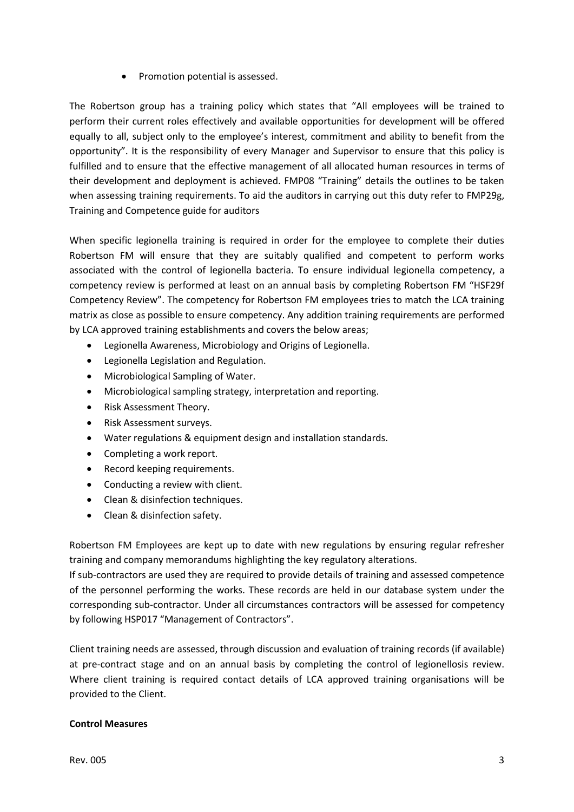• Promotion potential is assessed.

The Robertson group has a training policy which states that "All employees will be trained to perform their current roles effectively and available opportunities for development will be offered equally to all, subject only to the employee's interest, commitment and ability to benefit from the opportunity". It is the responsibility of every Manager and Supervisor to ensure that this policy is fulfilled and to ensure that the effective management of all allocated human resources in terms of their development and deployment is achieved. FMP08 "Training" details the outlines to be taken when assessing training requirements. To aid the auditors in carrying out this duty refer to FMP29g, Training and Competence guide for auditors

When specific legionella training is required in order for the employee to complete their duties Robertson FM will ensure that they are suitably qualified and competent to perform works associated with the control of legionella bacteria. To ensure individual legionella competency, a competency review is performed at least on an annual basis by completing Robertson FM "HSF29f Competency Review". The competency for Robertson FM employees tries to match the LCA training matrix as close as possible to ensure competency. Any addition training requirements are performed by LCA approved training establishments and covers the below areas;

- Legionella Awareness, Microbiology and Origins of Legionella.
- Legionella Legislation and Regulation.
- Microbiological Sampling of Water.
- Microbiological sampling strategy, interpretation and reporting.
- Risk Assessment Theory.
- Risk Assessment surveys.
- Water regulations & equipment design and installation standards.
- Completing a work report.
- Record keeping requirements.
- Conducting a review with client.
- Clean & disinfection techniques.
- Clean & disinfection safety.

Robertson FM Employees are kept up to date with new regulations by ensuring regular refresher training and company memorandums highlighting the key regulatory alterations.

If sub-contractors are used they are required to provide details of training and assessed competence of the personnel performing the works. These records are held in our database system under the corresponding sub-contractor. Under all circumstances contractors will be assessed for competency by following HSP017 "Management of Contractors".

Client training needs are assessed, through discussion and evaluation of training records (if available) at pre-contract stage and on an annual basis by completing the control of legionellosis review. Where client training is required contact details of LCA approved training organisations will be provided to the Client.

### **Control Measures**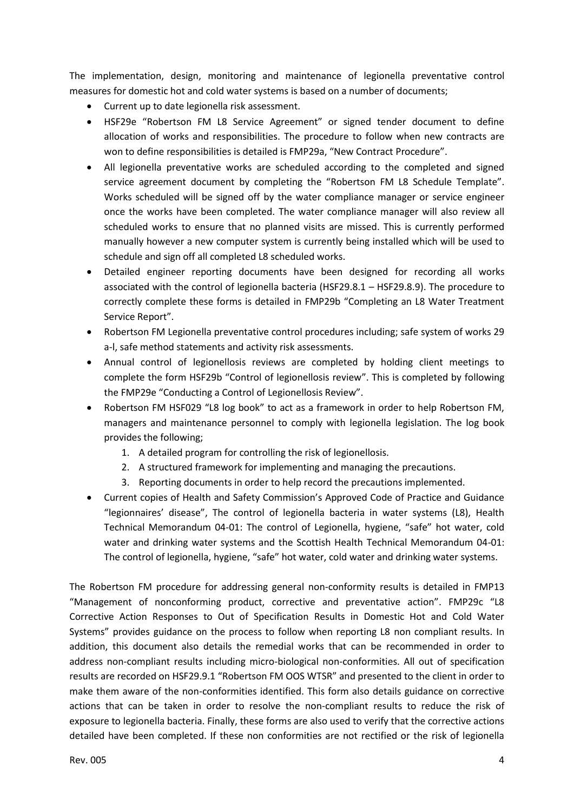The implementation, design, monitoring and maintenance of legionella preventative control measures for domestic hot and cold water systems is based on a number of documents;

- Current up to date legionella risk assessment.
- HSF29e "Robertson FM L8 Service Agreement" or signed tender document to define allocation of works and responsibilities. The procedure to follow when new contracts are won to define responsibilities is detailed is FMP29a, "New Contract Procedure".
- All legionella preventative works are scheduled according to the completed and signed service agreement document by completing the "Robertson FM L8 Schedule Template". Works scheduled will be signed off by the water compliance manager or service engineer once the works have been completed. The water compliance manager will also review all scheduled works to ensure that no planned visits are missed. This is currently performed manually however a new computer system is currently being installed which will be used to schedule and sign off all completed L8 scheduled works.
- Detailed engineer reporting documents have been designed for recording all works associated with the control of legionella bacteria (HSF29.8.1 – HSF29.8.9). The procedure to correctly complete these forms is detailed in FMP29b "Completing an L8 Water Treatment Service Report".
- Robertson FM Legionella preventative control procedures including; safe system of works 29 a-l, safe method statements and activity risk assessments.
- Annual control of legionellosis reviews are completed by holding client meetings to complete the form HSF29b "Control of legionellosis review". This is completed by following the FMP29e "Conducting a Control of Legionellosis Review".
- Robertson FM HSF029 "L8 log book" to act as a framework in order to help Robertson FM, managers and maintenance personnel to comply with legionella legislation. The log book provides the following;
	- 1. A detailed program for controlling the risk of legionellosis.
	- 2. A structured framework for implementing and managing the precautions.
	- 3. Reporting documents in order to help record the precautions implemented.
- Current copies of Health and Safety Commission's Approved Code of Practice and Guidance "legionnaires' disease", The control of legionella bacteria in water systems (L8), Health Technical Memorandum 04-01: The control of Legionella, hygiene, "safe" hot water, cold water and drinking water systems and the Scottish Health Technical Memorandum 04-01: The control of legionella, hygiene, "safe" hot water, cold water and drinking water systems.

The Robertson FM procedure for addressing general non-conformity results is detailed in FMP13 "Management of nonconforming product, corrective and preventative action". FMP29c "L8 Corrective Action Responses to Out of Specification Results in Domestic Hot and Cold Water Systems" provides guidance on the process to follow when reporting L8 non compliant results. In addition, this document also details the remedial works that can be recommended in order to address non-compliant results including micro-biological non-conformities. All out of specification results are recorded on HSF29.9.1 "Robertson FM OOS WTSR" and presented to the client in order to make them aware of the non-conformities identified. This form also details guidance on corrective actions that can be taken in order to resolve the non-compliant results to reduce the risk of exposure to legionella bacteria. Finally, these forms are also used to verify that the corrective actions detailed have been completed. If these non conformities are not rectified or the risk of legionella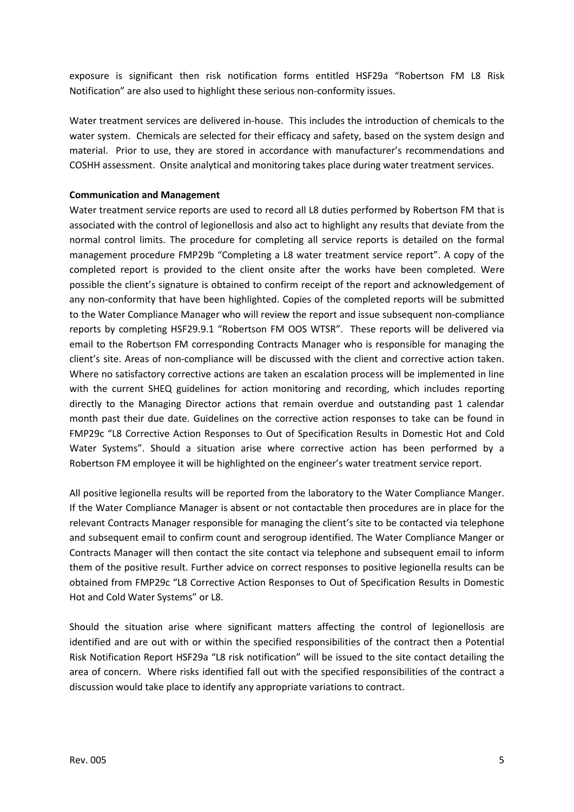exposure is significant then risk notification forms entitled HSF29a "Robertson FM L8 Risk Notification" are also used to highlight these serious non-conformity issues.

Water treatment services are delivered in-house. This includes the introduction of chemicals to the water system. Chemicals are selected for their efficacy and safety, based on the system design and material. Prior to use, they are stored in accordance with manufacturer's recommendations and COSHH assessment. Onsite analytical and monitoring takes place during water treatment services.

### **Communication and Management**

Water treatment service reports are used to record all L8 duties performed by Robertson FM that is associated with the control of legionellosis and also act to highlight any results that deviate from the normal control limits. The procedure for completing all service reports is detailed on the formal management procedure FMP29b "Completing a L8 water treatment service report". A copy of the completed report is provided to the client onsite after the works have been completed. Were possible the client's signature is obtained to confirm receipt of the report and acknowledgement of any non-conformity that have been highlighted. Copies of the completed reports will be submitted to the Water Compliance Manager who will review the report and issue subsequent non-compliance reports by completing HSF29.9.1 "Robertson FM OOS WTSR". These reports will be delivered via email to the Robertson FM corresponding Contracts Manager who is responsible for managing the client's site. Areas of non-compliance will be discussed with the client and corrective action taken. Where no satisfactory corrective actions are taken an escalation process will be implemented in line with the current SHEQ guidelines for action monitoring and recording, which includes reporting directly to the Managing Director actions that remain overdue and outstanding past 1 calendar month past their due date. Guidelines on the corrective action responses to take can be found in FMP29c "L8 Corrective Action Responses to Out of Specification Results in Domestic Hot and Cold Water Systems". Should a situation arise where corrective action has been performed by a Robertson FM employee it will be highlighted on the engineer's water treatment service report.

All positive legionella results will be reported from the laboratory to the Water Compliance Manger. If the Water Compliance Manager is absent or not contactable then procedures are in place for the relevant Contracts Manager responsible for managing the client's site to be contacted via telephone and subsequent email to confirm count and serogroup identified. The Water Compliance Manger or Contracts Manager will then contact the site contact via telephone and subsequent email to inform them of the positive result. Further advice on correct responses to positive legionella results can be obtained from FMP29c "L8 Corrective Action Responses to Out of Specification Results in Domestic Hot and Cold Water Systems" or L8.

Should the situation arise where significant matters affecting the control of legionellosis are identified and are out with or within the specified responsibilities of the contract then a Potential Risk Notification Report HSF29a "L8 risk notification" will be issued to the site contact detailing the area of concern. Where risks identified fall out with the specified responsibilities of the contract a discussion would take place to identify any appropriate variations to contract.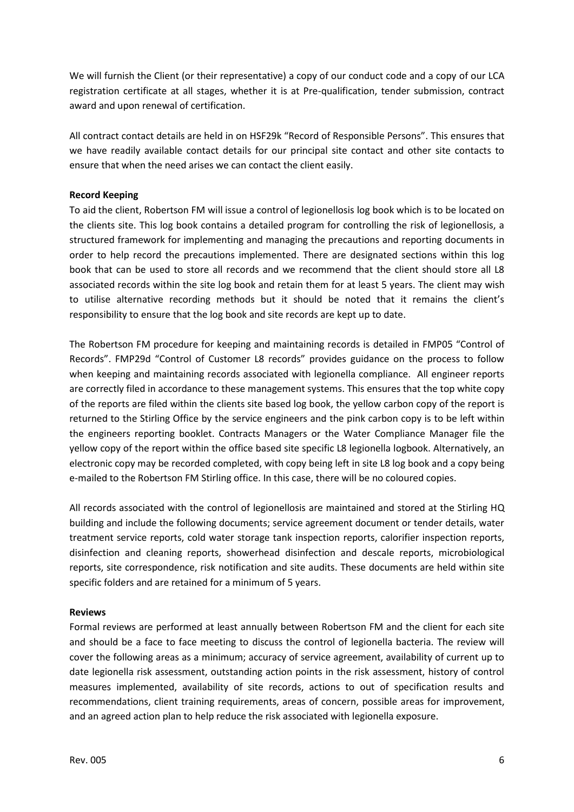We will furnish the Client (or their representative) a copy of our conduct code and a copy of our LCA registration certificate at all stages, whether it is at Pre-qualification, tender submission, contract award and upon renewal of certification.

All contract contact details are held in on HSF29k "Record of Responsible Persons". This ensures that we have readily available contact details for our principal site contact and other site contacts to ensure that when the need arises we can contact the client easily.

# **Record Keeping**

To aid the client, Robertson FM will issue a control of legionellosis log book which is to be located on the clients site. This log book contains a detailed program for controlling the risk of legionellosis, a structured framework for implementing and managing the precautions and reporting documents in order to help record the precautions implemented. There are designated sections within this log book that can be used to store all records and we recommend that the client should store all L8 associated records within the site log book and retain them for at least 5 years. The client may wish to utilise alternative recording methods but it should be noted that it remains the client's responsibility to ensure that the log book and site records are kept up to date.

The Robertson FM procedure for keeping and maintaining records is detailed in FMP05 "Control of Records". FMP29d "Control of Customer L8 records" provides guidance on the process to follow when keeping and maintaining records associated with legionella compliance. All engineer reports are correctly filed in accordance to these management systems. This ensures that the top white copy of the reports are filed within the clients site based log book, the yellow carbon copy of the report is returned to the Stirling Office by the service engineers and the pink carbon copy is to be left within the engineers reporting booklet. Contracts Managers or the Water Compliance Manager file the yellow copy of the report within the office based site specific L8 legionella logbook. Alternatively, an electronic copy may be recorded completed, with copy being left in site L8 log book and a copy being e-mailed to the Robertson FM Stirling office. In this case, there will be no coloured copies.

All records associated with the control of legionellosis are maintained and stored at the Stirling HQ building and include the following documents; service agreement document or tender details, water treatment service reports, cold water storage tank inspection reports, calorifier inspection reports, disinfection and cleaning reports, showerhead disinfection and descale reports, microbiological reports, site correspondence, risk notification and site audits. These documents are held within site specific folders and are retained for a minimum of 5 years.

### **Reviews**

Formal reviews are performed at least annually between Robertson FM and the client for each site and should be a face to face meeting to discuss the control of legionella bacteria. The review will cover the following areas as a minimum; accuracy of service agreement, availability of current up to date legionella risk assessment, outstanding action points in the risk assessment, history of control measures implemented, availability of site records, actions to out of specification results and recommendations, client training requirements, areas of concern, possible areas for improvement, and an agreed action plan to help reduce the risk associated with legionella exposure.